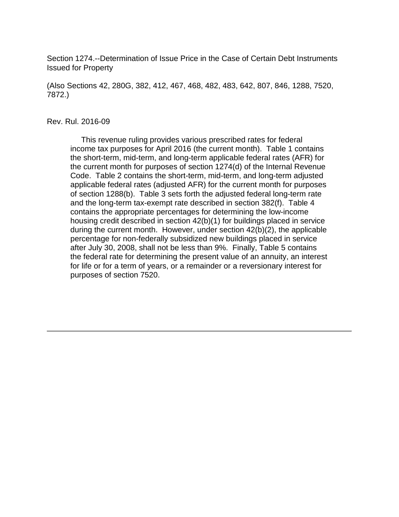Section 1274.--Determination of Issue Price in the Case of Certain Debt Instruments Issued for Property

(Also Sections 42, 280G, 382, 412, 467, 468, 482, 483, 642, 807, 846, 1288, 7520, 7872.)

#### Rev. Rul. 2016-09

 This revenue ruling provides various prescribed rates for federal income tax purposes for April 2016 (the current month). Table 1 contains the short-term, mid-term, and long-term applicable federal rates (AFR) for the current month for purposes of section 1274(d) of the Internal Revenue Code. Table 2 contains the short-term, mid-term, and long-term adjusted applicable federal rates (adjusted AFR) for the current month for purposes of section 1288(b). Table 3 sets forth the adjusted federal long-term rate and the long-term tax-exempt rate described in section 382(f). Table 4 contains the appropriate percentages for determining the low-income housing credit described in section 42(b)(1) for buildings placed in service during the current month. However, under section 42(b)(2), the applicable percentage for non-federally subsidized new buildings placed in service after July 30, 2008, shall not be less than 9%. Finally, Table 5 contains the federal rate for determining the present value of an annuity, an interest for life or for a term of years, or a remainder or a reversionary interest for purposes of section 7520.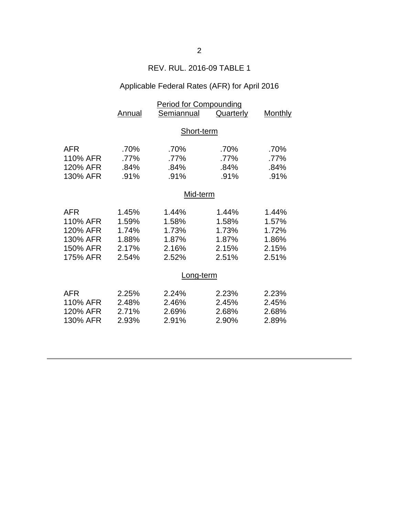### REV. RUL. 2016-09 TABLE 1

## Applicable Federal Rates (AFR) for April 2016

|            | <b>Period for Compounding</b> |            |           |                |  |
|------------|-------------------------------|------------|-----------|----------------|--|
|            | Annual                        | Semiannual | Quarterly | <b>Monthly</b> |  |
|            |                               |            |           |                |  |
|            | Short-term                    |            |           |                |  |
| <b>AFR</b> | .70%                          | .70%       | .70%      | .70%           |  |
| 110% AFR   | .77%                          | .77%       | .77%      | .77%           |  |
| 120% AFR   | .84%                          | .84%       | .84%      | .84%           |  |
| 130% AFR   | .91%                          | .91%       | .91%      | .91%           |  |
|            |                               |            |           |                |  |
|            | Mid-term                      |            |           |                |  |
|            |                               |            |           |                |  |
| <b>AFR</b> | 1.45%                         | 1.44%      | 1.44%     | 1.44%          |  |
| 110% AFR   | 1.59%                         | 1.58%      | 1.58%     | 1.57%          |  |
| 120% AFR   | 1.74%                         | 1.73%      | 1.73%     | 1.72%          |  |
| 130% AFR   | 1.88%                         | 1.87%      | 1.87%     | 1.86%          |  |
| 150% AFR   | 2.17%                         | 2.16%      | 2.15%     | 2.15%          |  |
| 175% AFR   | 2.54%                         | 2.52%      | 2.51%     | 2.51%          |  |
|            |                               |            |           |                |  |
|            | Long-term                     |            |           |                |  |
| <b>AFR</b> | 2.25%                         | 2.24%      | 2.23%     | 2.23%          |  |
| 110% AFR   | 2.48%                         | 2.46%      | 2.45%     | 2.45%          |  |
| 120% AFR   | 2.71%                         | 2.69%      | 2.68%     | 2.68%          |  |
| 130% AFR   | 2.93%                         | 2.91%      | 2.90%     | 2.89%          |  |
|            |                               |            |           |                |  |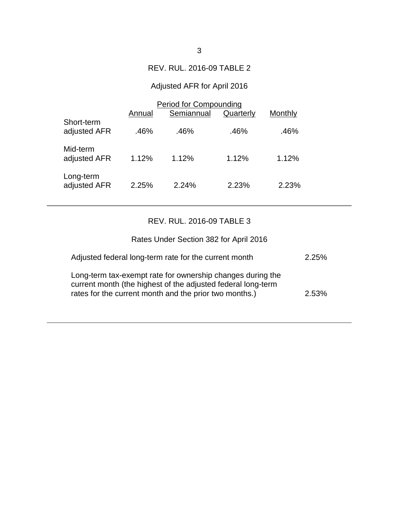### REV. RUL. 2016-09 TABLE 2

## Adjusted AFR for April 2016

|                            | <b>Period for Compounding</b> |            |           |         |  |
|----------------------------|-------------------------------|------------|-----------|---------|--|
|                            | Annual                        | Semiannual | Quarterly | Monthly |  |
| Short-term<br>adjusted AFR | .46%                          | .46%       | .46%      | .46%    |  |
| Mid-term<br>adjusted AFR   | 1.12%                         | 1.12%      | 1.12%     | 1.12%   |  |
| Long-term<br>adjusted AFR  | 2.25%                         | 2.24%      | 2.23%     | 2.23%   |  |

# REV. RUL. 2016-09 TABLE 3

| Rates Under Section 382 for April 2016                                                                                                                                               |          |
|--------------------------------------------------------------------------------------------------------------------------------------------------------------------------------------|----------|
| Adjusted federal long-term rate for the current month                                                                                                                                | 2.25%    |
| Long-term tax-exempt rate for ownership changes during the<br>current month (the highest of the adjusted federal long-term<br>rates for the current month and the prior two months.) | $2.53\%$ |